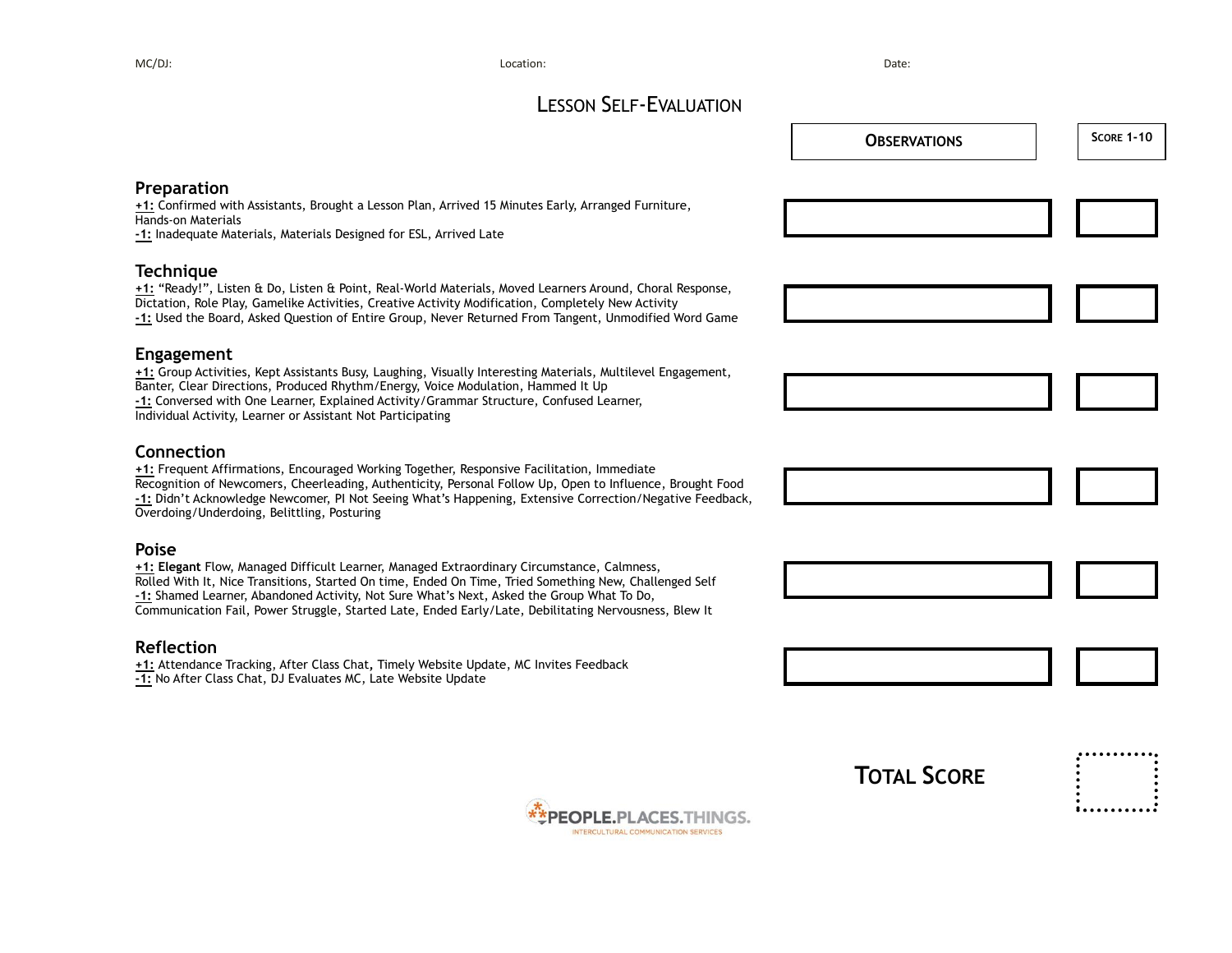MC/DJ: Location: Date:

## LESSON SELF-EVALUATION

|                                                                                                                                                                                                                                                                                                                                                                                                                     | <b>OBSERVATIONS</b> | <b>SCORE 1-10</b> |
|---------------------------------------------------------------------------------------------------------------------------------------------------------------------------------------------------------------------------------------------------------------------------------------------------------------------------------------------------------------------------------------------------------------------|---------------------|-------------------|
| Preparation<br>+1: Confirmed with Assistants, Brought a Lesson Plan, Arrived 15 Minutes Early, Arranged Furniture,<br>Hands-on Materials<br>-1: Inadequate Materials, Materials Designed for ESL, Arrived Late                                                                                                                                                                                                      |                     |                   |
| <b>Technique</b><br>+1: "Ready!", Listen & Do, Listen & Point, Real-World Materials, Moved Learners Around, Choral Response,<br>Dictation, Role Play, Gamelike Activities, Creative Activity Modification, Completely New Activity<br>-1: Used the Board, Asked Question of Entire Group, Never Returned From Tangent, Unmodified Word Game                                                                         |                     |                   |
| <b>Engagement</b><br>+1: Group Activities, Kept Assistants Busy, Laughing, Visually Interesting Materials, Multilevel Engagement,<br>Banter, Clear Directions, Produced Rhythm/Energy, Voice Modulation, Hammed It Up<br>-1: Conversed with One Learner, Explained Activity/Grammar Structure, Confused Learner,<br>Individual Activity, Learner or Assistant Not Participating                                     |                     |                   |
| Connection<br>+1: Frequent Affirmations, Encouraged Working Together, Responsive Facilitation, Immediate<br>Recognition of Newcomers, Cheerleading, Authenticity, Personal Follow Up, Open to Influence, Brought Food<br>-1: Didn't Acknowledge Newcomer, PI Not Seeing What's Happening, Extensive Correction/Negative Feedback,<br>Overdoing/Underdoing, Belittling, Posturing                                    |                     |                   |
| Poise<br>+1: Elegant Flow, Managed Difficult Learner, Managed Extraordinary Circumstance, Calmness,<br>Rolled With It, Nice Transitions, Started On time, Ended On Time, Tried Something New, Challenged Self<br>-1: Shamed Learner, Abandoned Activity, Not Sure What's Next, Asked the Group What To Do,<br>Communication Fail, Power Struggle, Started Late, Ended Early/Late, Debilitating Nervousness, Blew It |                     |                   |
| <b>Reflection</b><br>+1: Attendance Tracking, After Class Chat, Timely Website Update, MC Invites Feedback<br>-1: No After Class Chat, DJ Evaluates MC, Late Website Update                                                                                                                                                                                                                                         |                     |                   |
| E <b>OPLE.</b> PLACES.THINGS<br><b>ERCULTURAL COMMUNICATION SERVICES</b>                                                                                                                                                                                                                                                                                                                                            | <b>TOTAL SCORE</b>  |                   |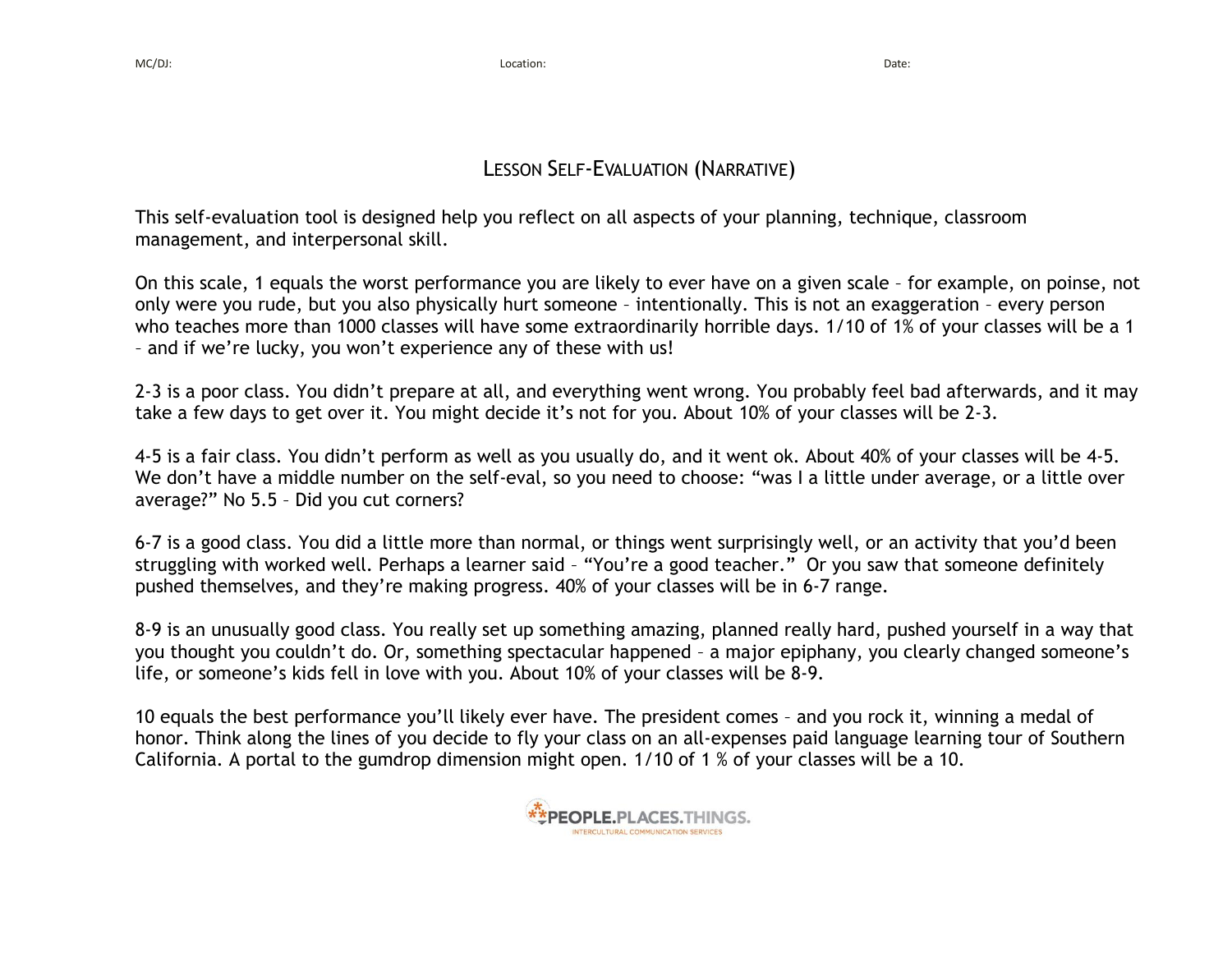MC/DJ: Location: Date:

## LESSON SELF-EVALUATION (NARRATIVE)

This self-evaluation tool is designed help you reflect on all aspects of your planning, technique, classroom management, and interpersonal skill.

On this scale, 1 equals the worst performance you are likely to ever have on a given scale – for example, on poinse, not only were you rude, but you also physically hurt someone – intentionally. This is not an exaggeration – every person who teaches more than 1000 classes will have some extraordinarily horrible days. 1/10 of 1% of your classes will be a 1 – and if we're lucky, you won't experience any of these with us!

2-3 is a poor class. You didn't prepare at all, and everything went wrong. You probably feel bad afterwards, and it may take a few days to get over it. You might decide it's not for you. About 10% of your classes will be 2-3.

4-5 is a fair class. You didn't perform as well as you usually do, and it went ok. About 40% of your classes will be 4-5. We don't have a middle number on the self-eval, so you need to choose: "was I a little under average, or a little over average?" No 5.5 – Did you cut corners?

6-7 is a good class. You did a little more than normal, or things went surprisingly well, or an activity that you'd been struggling with worked well. Perhaps a learner said – "You're a good teacher." Or you saw that someone definitely pushed themselves, and they're making progress. 40% of your classes will be in 6-7 range.

8-9 is an unusually good class. You really set up something amazing, planned really hard, pushed yourself in a way that you thought you couldn't do. Or, something spectacular happened – a major epiphany, you clearly changed someone's life, or someone's kids fell in love with you. About 10% of your classes will be 8-9.

10 equals the best performance you'll likely ever have. The president comes – and you rock it, winning a medal of honor. Think along the lines of you decide to fly your class on an all-expenses paid language learning tour of Southern California. A portal to the gumdrop dimension might open. 1/10 of 1 % of your classes will be a 10.